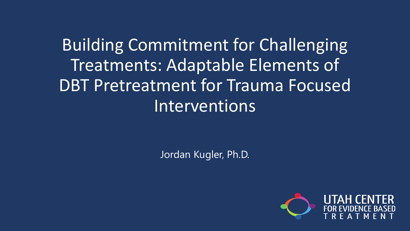Building Commitment for Challenging Treatments: Adaptable Elements of DBT Pretreatment for Trauma Focused Interventions

Jordan Kugler, Ph.D.

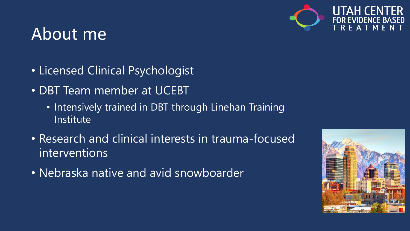

### About me

- Licensed Clinical Psychologist
- DBT Team member at UCEBT
	- Intensively trained in DBT through Linehan Training Institute
- Research and clinical interests in trauma-focused interventions
- Nebraska native and avid snowboarder

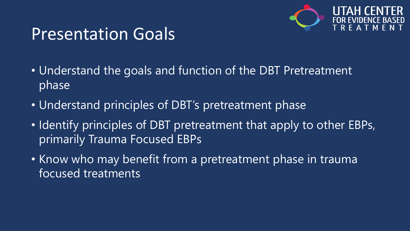

### Presentation Goals

- Understand the goals and function of the DBT Pretreatment phase
- Understand principles of DBT's pretreatment phase
- Identify principles of DBT pretreatment that apply to other EBPs, primarily Trauma Focused EBPs
- Know who may benefit from a pretreatment phase in trauma focused treatments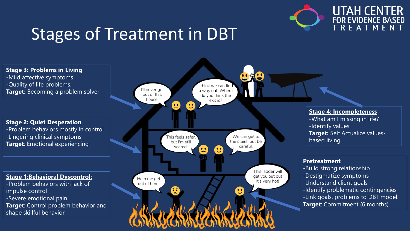

**UTAH CENTER FOR EVIDENCE BASED** T R E A T M E N T

### Stages of Treatment in DBT

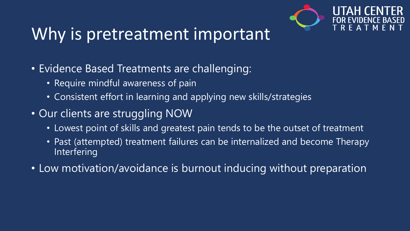![](_page_4_Picture_0.jpeg)

### Why is pretreatment important

- Evidence Based Treatments are challenging:
	- Require mindful awareness of pain
	- Consistent effort in learning and applying new skills/strategies
- Our clients are struggling NOW
	- Lowest point of skills and greatest pain tends to be the outset of treatment
	- Past (attempted) treatment failures can be internalized and become Therapy Interfering
- Low motivation/avoidance is burnout inducing without preparation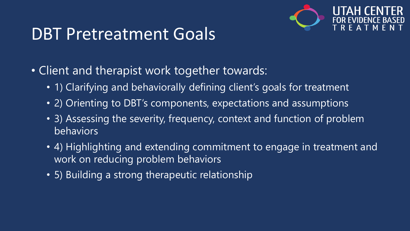![](_page_5_Picture_0.jpeg)

### DBT Pretreatment Goals

- Client and therapist work together towards:
	- 1) Clarifying and behaviorally defining client's goals for treatment
	- 2) Orienting to DBT's components, expectations and assumptions
	- 3) Assessing the severity, frequency, context and function of problem behaviors
	- 4) Highlighting and extending commitment to engage in treatment and work on reducing problem behaviors
	- 5) Building a strong therapeutic relationship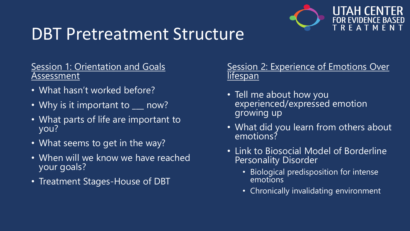![](_page_6_Picture_0.jpeg)

### DBT Pretreatment Structure

#### Session 1: Orientation and Goals Assessment

- What hasn't worked before?
- Why is it important to \_\_\_ now?
- What parts of life are important to you?
- What seems to get in the way?
- When will we know we have reached your goals?
- Treatment Stages-House of DBT

#### Session 2: Experience of Emotions Over **lifespan**

- Tell me about how you experienced/expressed emotion growing up
- What did you learn from others about emotions?
- Link to Biosocial Model of Borderline Personality Disorder
	- Biological predisposition for intense emotions
	- Chronically invalidating environment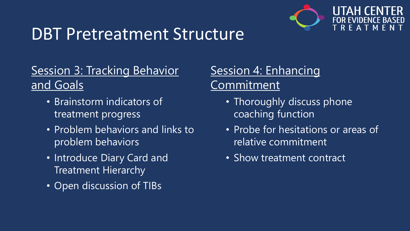![](_page_7_Picture_0.jpeg)

### DBT Pretreatment Structure

### **Session 3: Tracking Behavior** and Goals

- Brainstorm indicators of treatment progress
- Problem behaviors and links to problem behaviors
- Introduce Diary Card and Treatment Hierarchy
- Open discussion of TIBs

### Session 4: Enhancing Commitment

- Thoroughly discuss phone coaching function
- Probe for hesitations or areas of relative commitment
- Show treatment contract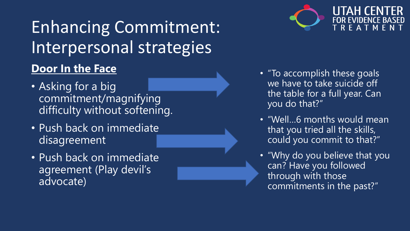### Enhancing Commitment: Interpersonal strategies **Door In the Face**

- Asking for a big commitment/magnifying difficulty without softening.
- Push back on immediate disagreement
- Push back on immediate agreement (Play devil's advocate)

![](_page_8_Picture_4.jpeg)

EAT **M** 

- "To accomplish these goals we have to take suicide off the table for a full year. Can you do that?"
- "Well…6 months would mean that you tried all the skills, could you commit to that?"
- "Why do you believe that you can? Have you followed through with those commitments in the past?"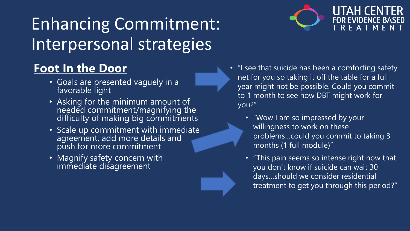### **Foot In the Door**

- Goals are presented vaguely in a favorable light
- Asking for the minimum amount of needed commitment/magnifying the difficulty of making big commitments
- Scale up commitment with immediate agreement, add more details and push for more commitment
- Magnify safety concern with immediate disagreement

![](_page_9_Picture_6.jpeg)

- "I see that suicide has been a comforting safety net for you so taking it off the table for a full year might not be possible. Could you commit to 1 month to see how DBT might work for you?"
	- "Wow I am so impressed by your willingness to work on these problems…could you commit to taking 3 months (1 full module)"
	- "This pain seems so intense right now that you don't know if suicide can wait 30 days…should we consider residential treatment to get you through this period?"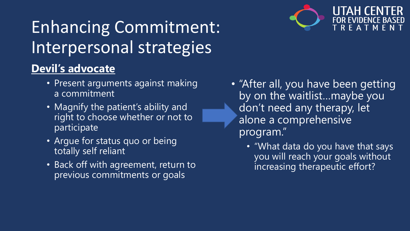### **Devil's advocate**

- Present arguments against making a commitment
- Magnify the patient's ability and right to choose whether or not to participate
- Argue for status quo or being totally self reliant
- Back off with agreement, return to previous commitments or goals

![](_page_10_Picture_6.jpeg)

- "After all, you have been getting by on the waitlist…maybe you don't need any therapy, let alone a comprehensive program."
	- "What data do you have that says you will reach your goals without increasing therapeutic effort?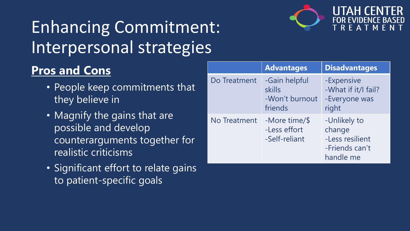![](_page_11_Picture_1.jpeg)

![](_page_11_Picture_2.jpeg)

### **Pros and Cons**

- People keep commitments that they believe in
- Magnify the gains that are possible and develop counterarguments together for realistic criticisms
- Significant effort to relate gains to patient-specific goals

|              | <b>Advantages</b>                                    | <b>Disadvantages</b>                                                     |
|--------------|------------------------------------------------------|--------------------------------------------------------------------------|
| Do Treatment | -Gain helpful<br>skills<br>-Won't burnout<br>friends | -Expensive<br>-What if it/I fail?<br>-Everyone was<br>right              |
| No Treatment | -More time/\$<br>-Less effort<br>-Self-reliant       | -Unlikely to<br>change<br>-Less resilient<br>-Friends can't<br>handle me |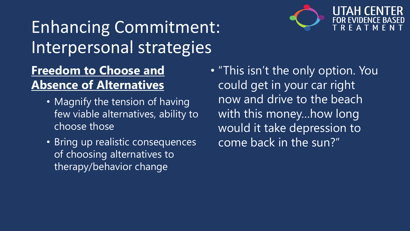![](_page_12_Picture_1.jpeg)

- Magnify the tension of having few viable alternatives, ability to choose those
- Bring up realistic consequences of choosing alternatives to therapy/behavior change

• "This isn't the only option. You could get in your car right now and drive to the beach with this money...how long would it take depression to come back in the sun?"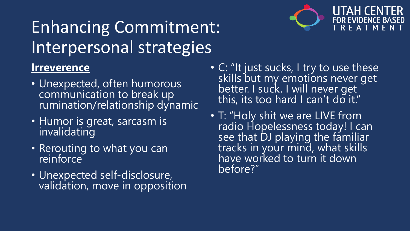![](_page_13_Picture_1.jpeg)

- Unexpected, often humorous communication to break up rumination/relationship dynamic
- Humor is great, sarcasm is invalidating
- Rerouting to what you can reinforce
- Unexpected self-disclosure, validation, move in opposition

![](_page_13_Picture_6.jpeg)

- C: "It just sucks, I try to use these skills but my emotions never get better. I suck. I will never get this, its too hard I can't do it."
- T: "Holy shit we are LIVE from radio Hopelessness today! I can see that DJ playing the familiar tracks in your mind, what skills have worked to turn it down before?"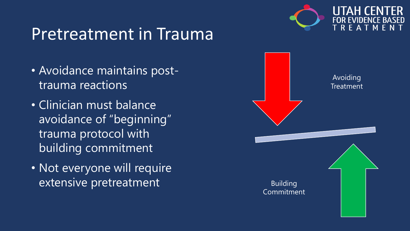![](_page_14_Picture_0.jpeg)

### Pretreatment in Trauma

- Avoidance maintains posttrauma reactions
- Clinician must balance avoidance of "beginning" trauma protocol with building commitment
- Not everyone will require extensive pretreatment

![](_page_14_Figure_5.jpeg)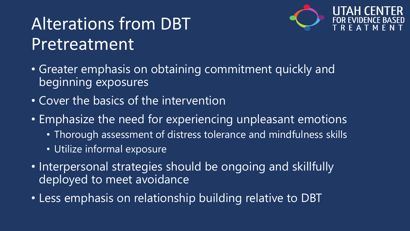# Alterations from DBT Pretreatment

![](_page_15_Picture_1.jpeg)

- Greater emphasis on obtaining commitment quickly and beginning exposures
- Cover the basics of the intervention
- Emphasize the need for experiencing unpleasant emotions
	- Thorough assessment of distress tolerance and mindfulness skills
	- Utilize informal exposure
- Interpersonal strategies should be ongoing and skillfully deployed to meet avoidance
- Less emphasis on relationship building relative to DBT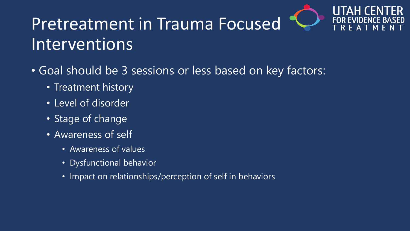![](_page_16_Picture_0.jpeg)

![](_page_16_Picture_1.jpeg)

# Pretreatment in Trauma Focused Interventions

- Goal should be 3 sessions or less based on key factors:
	- Treatment history
	- Level of disorder
	- Stage of change
	- Awareness of self
		- Awareness of values
		- Dysfunctional behavior
		- Impact on relationships/perception of self in behaviors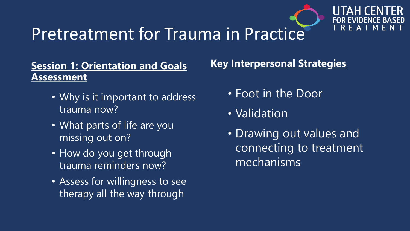![](_page_17_Picture_0.jpeg)

**RFAT** 

### Pretreatment for Trauma in Practice

#### **Session 1: Orientation and Goals Assessment**

- Why is it important to address trauma now?
- What parts of life are you missing out on?
- How do you get through trauma reminders now?
- Assess for willingness to see therapy all the way through

#### **Key Interpersonal Strategies**

- Foot in the Door
- Validation
- Drawing out values and connecting to treatment mechanisms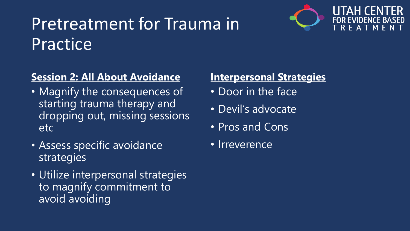# Pretreatment for Trauma in **Practice**

![](_page_18_Picture_1.jpeg)

### **Session 2: All About Avoidance**

- Magnify the consequences of starting trauma therapy and dropping out, missing sessions etc
- Assess specific avoidance strategies
- Utilize interpersonal strategies to magnify commitment to avoid avoiding

### **Interpersonal Strategies**

- Door in the face
- Devil's advocate
- Pros and Cons
- Irreverence